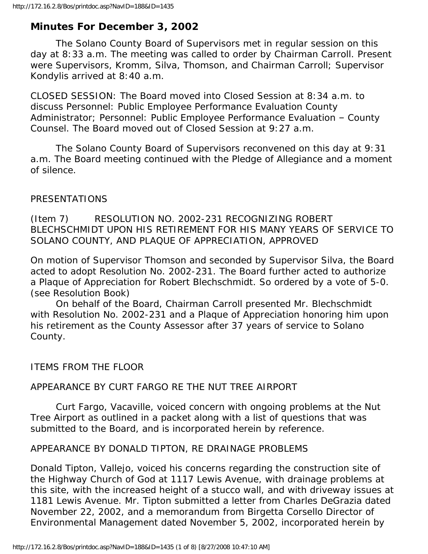# **Minutes For December 3, 2002**

 The Solano County Board of Supervisors met in regular session on this day at 8:33 a.m. The meeting was called to order by Chairman Carroll. Present were Supervisors, Kromm, Silva, Thomson, and Chairman Carroll; Supervisor Kondylis arrived at 8:40 a.m.

CLOSED SESSION: The Board moved into Closed Session at 8:34 a.m. to discuss Personnel: Public Employee Performance Evaluation County Administrator; Personnel: Public Employee Performance Evaluation – County Counsel. The Board moved out of Closed Session at 9:27 a.m.

 The Solano County Board of Supervisors reconvened on this day at 9:31 a.m. The Board meeting continued with the Pledge of Allegiance and a moment of silence.

## PRESENTATIONS

(Item 7) RESOLUTION NO. 2002-231 RECOGNIZING ROBERT BLECHSCHMIDT UPON HIS RETIREMENT FOR HIS MANY YEARS OF SERVICE TO SOLANO COUNTY, AND PLAQUE OF APPRECIATION, APPROVED

On motion of Supervisor Thomson and seconded by Supervisor Silva, the Board acted to adopt Resolution No. 2002-231. The Board further acted to authorize a Plaque of Appreciation for Robert Blechschmidt. So ordered by a vote of 5-0. (see Resolution Book)

 On behalf of the Board, Chairman Carroll presented Mr. Blechschmidt with Resolution No. 2002-231 and a Plaque of Appreciation honoring him upon his retirement as the County Assessor after 37 years of service to Solano County.

## ITEMS FROM THE FLOOR

## APPEARANCE BY CURT FARGO RE THE NUT TREE AIRPORT

 Curt Fargo, Vacaville, voiced concern with ongoing problems at the Nut Tree Airport as outlined in a packet along with a list of questions that was submitted to the Board, and is incorporated herein by reference.

## APPEARANCE BY DONALD TIPTON, RE DRAINAGE PROBLEMS

Donald Tipton, Vallejo, voiced his concerns regarding the construction site of the Highway Church of God at 1117 Lewis Avenue, with drainage problems at this site, with the increased height of a stucco wall, and with driveway issues at 1181 Lewis Avenue. Mr. Tipton submitted a letter from Charles DeGrazia dated November 22, 2002, and a memorandum from Birgetta Corsello Director of Environmental Management dated November 5, 2002, incorporated herein by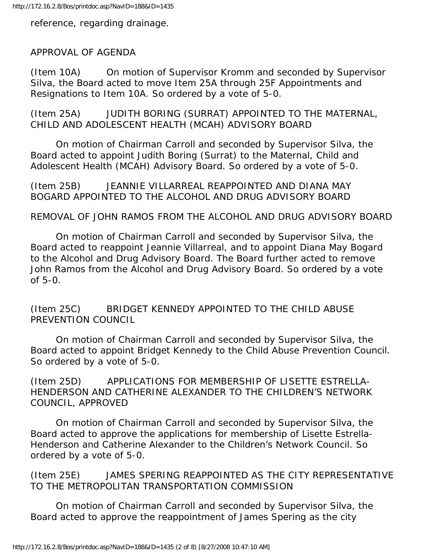reference, regarding drainage.

APPROVAL OF AGENDA

(Item 10A) On motion of Supervisor Kromm and seconded by Supervisor Silva, the Board acted to move Item 25A through 25F Appointments and Resignations to Item 10A. So ordered by a vote of 5-0.

(Item 25A) JUDITH BORING (SURRAT) APPOINTED TO THE MATERNAL, CHILD AND ADOLESCENT HEALTH (MCAH) ADVISORY BOARD

 On motion of Chairman Carroll and seconded by Supervisor Silva, the Board acted to appoint Judith Boring (Surrat) to the Maternal, Child and Adolescent Health (MCAH) Advisory Board. So ordered by a vote of 5-0.

(Item 25B) JEANNIE VILLARREAL REAPPOINTED AND DIANA MAY BOGARD APPOINTED TO THE ALCOHOL AND DRUG ADVISORY BOARD

## REMOVAL OF JOHN RAMOS FROM THE ALCOHOL AND DRUG ADVISORY BOARD

 On motion of Chairman Carroll and seconded by Supervisor Silva, the Board acted to reappoint Jeannie Villarreal, and to appoint Diana May Bogard to the Alcohol and Drug Advisory Board. The Board further acted to remove John Ramos from the Alcohol and Drug Advisory Board. So ordered by a vote of 5-0.

(Item 25C) BRIDGET KENNEDY APPOINTED TO THE CHILD ABUSE PREVENTION COUNCIL

 On motion of Chairman Carroll and seconded by Supervisor Silva, the Board acted to appoint Bridget Kennedy to the Child Abuse Prevention Council. So ordered by a vote of 5-0.

(Item 25D) APPLICATIONS FOR MEMBERSHIP OF LISETTE ESTRELLA-HENDERSON AND CATHERINE ALEXANDER TO THE CHILDREN'S NETWORK COUNCIL, APPROVED

 On motion of Chairman Carroll and seconded by Supervisor Silva, the Board acted to approve the applications for membership of Lisette Estrella-Henderson and Catherine Alexander to the Children's Network Council. So ordered by a vote of 5-0.

(Item 25E) JAMES SPERING REAPPOINTED AS THE CITY REPRESENTATIVE TO THE METROPOLITAN TRANSPORTATION COMMISSION

 On motion of Chairman Carroll and seconded by Supervisor Silva, the Board acted to approve the reappointment of James Spering as the city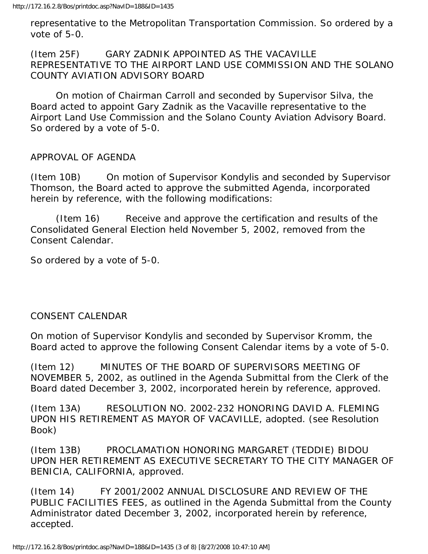representative to the Metropolitan Transportation Commission. So ordered by a vote of 5-0.

(Item 25F) GARY ZADNIK APPOINTED AS THE VACAVILLE REPRESENTATIVE TO THE AIRPORT LAND USE COMMISSION AND THE SOLANO COUNTY AVIATION ADVISORY BOARD

 On motion of Chairman Carroll and seconded by Supervisor Silva, the Board acted to appoint Gary Zadnik as the Vacaville representative to the Airport Land Use Commission and the Solano County Aviation Advisory Board. So ordered by a vote of 5-0.

## APPROVAL OF AGENDA

(Item 10B) On motion of Supervisor Kondylis and seconded by Supervisor Thomson, the Board acted to approve the submitted Agenda, incorporated herein by reference, with the following modifications:

 (Item 16) Receive and approve the certification and results of the Consolidated General Election held November 5, 2002, removed from the Consent Calendar.

So ordered by a vote of 5-0.

## CONSENT CALENDAR

On motion of Supervisor Kondylis and seconded by Supervisor Kromm, the Board acted to approve the following Consent Calendar items by a vote of 5-0.

(Item 12) MINUTES OF THE BOARD OF SUPERVISORS MEETING OF NOVEMBER 5, 2002, as outlined in the Agenda Submittal from the Clerk of the Board dated December 3, 2002, incorporated herein by reference, approved.

(Item 13A) RESOLUTION NO. 2002-232 HONORING DAVID A. FLEMING UPON HIS RETIREMENT AS MAYOR OF VACAVILLE, adopted. (see Resolution Book)

(Item 13B) PROCLAMATION HONORING MARGARET (TEDDIE) BIDOU UPON HER RETIREMENT AS EXECUTIVE SECRETARY TO THE CITY MANAGER OF BENICIA, CALIFORNIA, approved.

(Item 14) FY 2001/2002 ANNUAL DISCLOSURE AND REVIEW OF THE PUBLIC FACILITIES FEES, as outlined in the Agenda Submittal from the County Administrator dated December 3, 2002, incorporated herein by reference, accepted.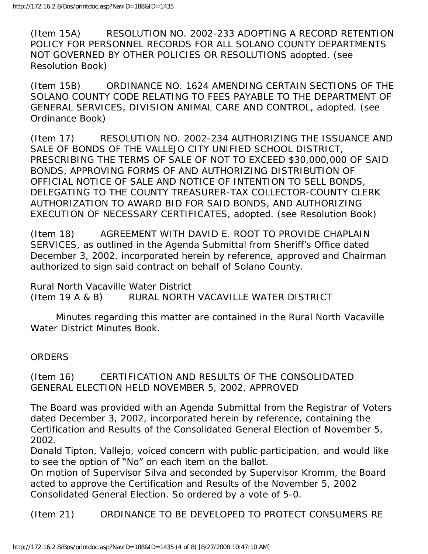(Item 15A) RESOLUTION NO. 2002-233 ADOPTING A RECORD RETENTION POLICY FOR PERSONNEL RECORDS FOR ALL SOLANO COUNTY DEPARTMENTS NOT GOVERNED BY OTHER POLICIES OR RESOLUTIONS adopted. (see Resolution Book)

(Item 15B) ORDINANCE NO. 1624 AMENDING CERTAIN SECTIONS OF THE SOLANO COUNTY CODE RELATING TO FEES PAYABLE TO THE DEPARTMENT OF GENERAL SERVICES, DIVISION ANIMAL CARE AND CONTROL, adopted. (see Ordinance Book)

(Item 17) RESOLUTION NO. 2002-234 AUTHORIZING THE ISSUANCE AND SALE OF BONDS OF THE VALLEJO CITY UNIFIED SCHOOL DISTRICT, PRESCRIBING THE TERMS OF SALE OF NOT TO EXCEED \$30,000,000 OF SAID BONDS, APPROVING FORMS OF AND AUTHORIZING DISTRIBUTION OF OFFICIAL NOTICE OF SALE AND NOTICE OF INTENTION TO SELL BONDS, DELEGATING TO THE COUNTY TREASURER-TAX COLLECTOR-COUNTY CLERK AUTHORIZATION TO AWARD BID FOR SAID BONDS, AND AUTHORIZING EXECUTION OF NECESSARY CERTIFICATES, adopted. (see Resolution Book)

(Item 18) AGREEMENT WITH DAVID E. ROOT TO PROVIDE CHAPLAIN SERVICES, as outlined in the Agenda Submittal from Sheriff's Office dated December 3, 2002, incorporated herein by reference, approved and Chairman authorized to sign said contract on behalf of Solano County.

Rural North Vacaville Water District (Item 19 A & B) RURAL NORTH VACAVILLE WATER DISTRICT

 Minutes regarding this matter are contained in the Rural North Vacaville Water District Minutes Book.

## **ORDERS**

(Item 16) CERTIFICATION AND RESULTS OF THE CONSOLIDATED GENERAL ELECTION HELD NOVEMBER 5, 2002, APPROVED

The Board was provided with an Agenda Submittal from the Registrar of Voters dated December 3, 2002, incorporated herein by reference, containing the Certification and Results of the Consolidated General Election of November 5, 2002.

Donald Tipton, Vallejo, voiced concern with public participation, and would like to see the option of "No" on each item on the ballot.

On motion of Supervisor Silva and seconded by Supervisor Kromm, the Board acted to approve the Certification and Results of the November 5, 2002 Consolidated General Election. So ordered by a vote of 5-0.

(Item 21) ORDINANCE TO BE DEVELOPED TO PROTECT CONSUMERS RE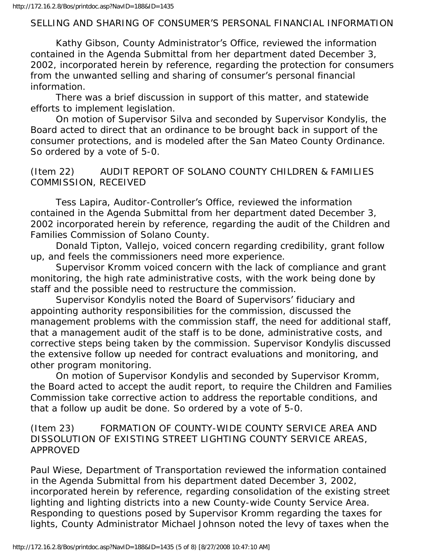#### SELLING AND SHARING OF CONSUMER'S PERSONAL FINANCIAL INFORMATION

 Kathy Gibson, County Administrator's Office, reviewed the information contained in the Agenda Submittal from her department dated December 3, 2002, incorporated herein by reference, regarding the protection for consumers from the unwanted selling and sharing of consumer's personal financial information.

 There was a brief discussion in support of this matter, and statewide efforts to implement legislation.

 On motion of Supervisor Silva and seconded by Supervisor Kondylis, the Board acted to direct that an ordinance to be brought back in support of the consumer protections, and is modeled after the San Mateo County Ordinance. So ordered by a vote of 5-0.

## (Item 22) AUDIT REPORT OF SOLANO COUNTY CHILDREN & FAMILIES COMMISSION, RECEIVED

 Tess Lapira, Auditor-Controller's Office, reviewed the information contained in the Agenda Submittal from her department dated December 3, 2002 incorporated herein by reference, regarding the audit of the Children and Families Commission of Solano County.

 Donald Tipton, Vallejo, voiced concern regarding credibility, grant follow up, and feels the commissioners need more experience.

 Supervisor Kromm voiced concern with the lack of compliance and grant monitoring, the high rate administrative costs, with the work being done by staff and the possible need to restructure the commission.

 Supervisor Kondylis noted the Board of Supervisors' fiduciary and appointing authority responsibilities for the commission, discussed the management problems with the commission staff, the need for additional staff, that a management audit of the staff is to be done, administrative costs, and corrective steps being taken by the commission. Supervisor Kondylis discussed the extensive follow up needed for contract evaluations and monitoring, and other program monitoring.

 On motion of Supervisor Kondylis and seconded by Supervisor Kromm, the Board acted to accept the audit report, to require the Children and Families Commission take corrective action to address the reportable conditions, and that a follow up audit be done. So ordered by a vote of 5-0.

## (Item 23) FORMATION OF COUNTY-WIDE COUNTY SERVICE AREA AND DISSOLUTION OF EXISTING STREET LIGHTING COUNTY SERVICE AREAS, APPROVED

Paul Wiese, Department of Transportation reviewed the information contained in the Agenda Submittal from his department dated December 3, 2002, incorporated herein by reference, regarding consolidation of the existing street lighting and lighting districts into a new County-wide County Service Area. Responding to questions posed by Supervisor Kromm regarding the taxes for lights, County Administrator Michael Johnson noted the levy of taxes when the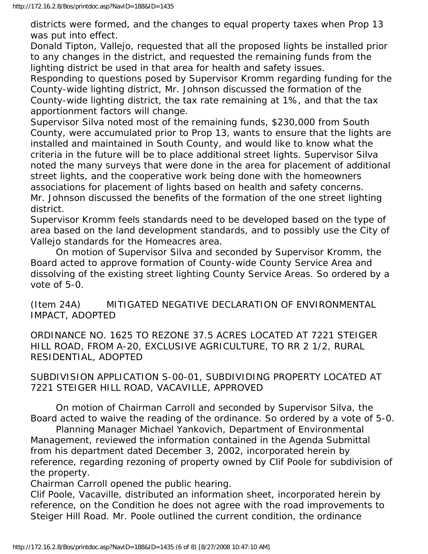districts were formed, and the changes to equal property taxes when Prop 13 was put into effect.

Donald Tipton, Vallejo, requested that all the proposed lights be installed prior to any changes in the district, and requested the remaining funds from the lighting district be used in that area for health and safety issues.

Responding to questions posed by Supervisor Kromm regarding funding for the County-wide lighting district, Mr. Johnson discussed the formation of the County-wide lighting district, the tax rate remaining at 1%, and that the tax apportionment factors will change.

Supervisor Silva noted most of the remaining funds, \$230,000 from South County, were accumulated prior to Prop 13, wants to ensure that the lights are installed and maintained in South County, and would like to know what the criteria in the future will be to place additional street lights. Supervisor Silva noted the many surveys that were done in the area for placement of additional street lights, and the cooperative work being done with the homeowners associations for placement of lights based on health and safety concerns. Mr. Johnson discussed the benefits of the formation of the one street lighting district.

Supervisor Kromm feels standards need to be developed based on the type of area based on the land development standards, and to possibly use the City of Vallejo standards for the Homeacres area.

 On motion of Supervisor Silva and seconded by Supervisor Kromm, the Board acted to approve formation of County-wide County Service Area and dissolving of the existing street lighting County Service Areas. So ordered by a vote of 5-0.

(Item 24A) MITIGATED NEGATIVE DECLARATION OF ENVIRONMENTAL IMPACT, ADOPTED

ORDINANCE NO. 1625 TO REZONE 37.5 ACRES LOCATED AT 7221 STEIGER HILL ROAD, FROM A-20, EXCLUSIVE AGRICULTURE, TO RR 2 1/2, RURAL RESIDENTIAL, ADOPTED

SUBDIVISION APPLICATION S-00-01, SUBDIVIDING PROPERTY LOCATED AT 7221 STEIGER HILL ROAD, VACAVILLE, APPROVED

 On motion of Chairman Carroll and seconded by Supervisor Silva, the Board acted to waive the reading of the ordinance. So ordered by a vote of 5-0.

 Planning Manager Michael Yankovich, Department of Environmental Management, reviewed the information contained in the Agenda Submittal from his department dated December 3, 2002, incorporated herein by reference, regarding rezoning of property owned by Clif Poole for subdivision of the property.

Chairman Carroll opened the public hearing.

Clif Poole, Vacaville, distributed an information sheet, incorporated herein by reference, on the Condition he does not agree with the road improvements to Steiger Hill Road. Mr. Poole outlined the current condition, the ordinance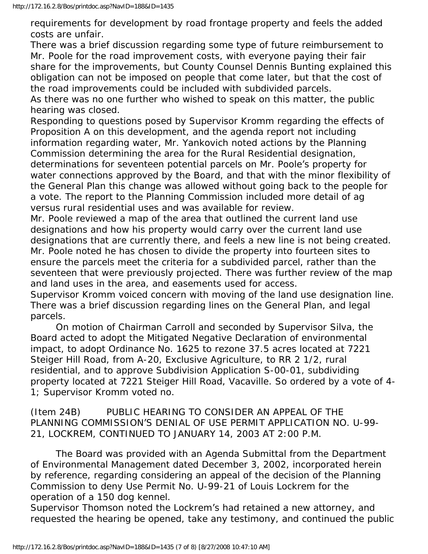requirements for development by road frontage property and feels the added costs are unfair.

There was a brief discussion regarding some type of future reimbursement to Mr. Poole for the road improvement costs, with everyone paying their fair share for the improvements, but County Counsel Dennis Bunting explained this obligation can not be imposed on people that come later, but that the cost of the road improvements could be included with subdivided parcels.

As there was no one further who wished to speak on this matter, the public hearing was closed.

Responding to questions posed by Supervisor Kromm regarding the effects of Proposition A on this development, and the agenda report not including information regarding water, Mr. Yankovich noted actions by the Planning Commission determining the area for the Rural Residential designation, determinations for seventeen potential parcels on Mr. Poole's property for water connections approved by the Board, and that with the minor flexibility of the General Plan this change was allowed without going back to the people for a vote. The report to the Planning Commission included more detail of ag versus rural residential uses and was available for review.

Mr. Poole reviewed a map of the area that outlined the current land use designations and how his property would carry over the current land use designations that are currently there, and feels a new line is not being created. Mr. Poole noted he has chosen to divide the property into fourteen sites to ensure the parcels meet the criteria for a subdivided parcel, rather than the seventeen that were previously projected. There was further review of the map and land uses in the area, and easements used for access.

Supervisor Kromm voiced concern with moving of the land use designation line. There was a brief discussion regarding lines on the General Plan, and legal parcels.

 On motion of Chairman Carroll and seconded by Supervisor Silva, the Board acted to adopt the Mitigated Negative Declaration of environmental impact, to adopt Ordinance No. 1625 to rezone 37.5 acres located at 7221 Steiger Hill Road, from A-20, Exclusive Agriculture, to RR 2 1/2, rural residential, and to approve Subdivision Application S-00-01, subdividing property located at 7221 Steiger Hill Road, Vacaville. So ordered by a vote of 4- 1; Supervisor Kromm voted no.

(Item 24B) PUBLIC HEARING TO CONSIDER AN APPEAL OF THE PLANNING COMMISSION'S DENIAL OF USE PERMIT APPLICATION NO. U-99- 21, LOCKREM, CONTINUED TO JANUARY 14, 2003 AT 2:00 P.M.

 The Board was provided with an Agenda Submittal from the Department of Environmental Management dated December 3, 2002, incorporated herein by reference, regarding considering an appeal of the decision of the Planning Commission to deny Use Permit No. U-99-21 of Louis Lockrem for the operation of a 150 dog kennel.

Supervisor Thomson noted the Lockrem's had retained a new attorney, and requested the hearing be opened, take any testimony, and continued the public